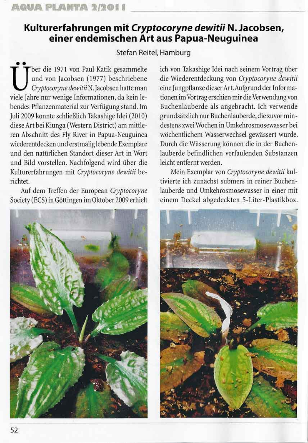## Kulturerfahrungen mit Cryptocoryne dewitii N. Jacobsen, einer endemischen Art aus Papua-Neuguinea

## Stefan Reitel, Hamburg

ber die 1971 von Paul Katik gesammelte und von Jacobsen (1977) beschriebene Cryptocoryne dewitii N. Jacobsen hatte man viele Jahre nur wenige Informationen, da kein lebendes Pflanzenmaterial zur Verfügung stand. Im Juli 2009 konnte schließlich Takashige Idei (2010) diese Art bei Kiunga (Western District) am mittleren Abschnitt des Fly River in Papua-Neuguinea wiederentdecken und erstmalig lebende Exemplare und den natürlichen Standort dieser Art in Wort und Bild vorstellen. Nachfolgend wird über die Kulturerfahrungen mit Cryptocoryne dewitii berichtet.

Auf dem Treffen der European Cryptocoryne Society (ECS) in Göttingen im Oktober 2009 erhielt



ich von Takashige Idei nach seinem Vortrag über die Wiederentdeckung von Cryptocoryne dewitii eine Jungpflanze dieser Art. Aufgrund der Informationen im Vortrag erschien mir die Verwendung von Buchenlauberde als angebracht. Ich verwende grundsätzlich nur Buchenlauberde, die zuvor mindestens zwei Wochen in Umkehrosmosewasser bei wöchentlichem Wasserwechsel gewässert wurde. Durch die Wässerung können die in der Buchenlauberde befindlichen verfaulenden Substanzen leicht entfernt werden.

Mein Exemplar von Cryptocoryne dewitii kultivierte ich zunächst submers in reiner Buchenlauberde und Umkehrosmosewasser in einer mit einem Deckel abgedeckten 5-Liter-Plastikbox.

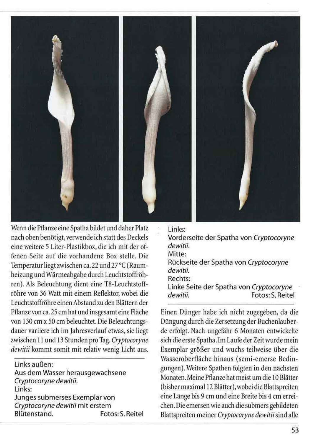

Wenn die Pflanze eine Spatha bildet und daher Platz nach oben benötigt, verwende ich statt des Deckels eine weitere 5 Liter-Plastikbox, die ich mit der offenen Seite auf die vorhandene Box stelle. Die Temperatur liegt zwischen ca. 22 und 27 °C (Raumheizung und Wärmeabgabe durch Leuchtstoffröhren). Als Beleuchtung dient eine T8-Leuchtstoffröhre von 36 Watt mit einem Reflektor, wobei die Leuchtstoffröhre einen Abstand zu den Blättern der Pflanze von ca. 25 cm hat und insgesamt eine Fläche von 130 cm x 50 cm beleuchtet. Die Beleuchtungsdauer variiere ich im Jahresverlauf etwas, sie liegt zwischen 11 und 13 Stunden pro Tag. Cryptocoryne dewitii kommt somit mit relativ wenig Licht aus.

Links:

Vorderseite der Spatha von Cryptocoryne dewitii.

Mitte:

Rückseite der Spatha von Cryptocoryne dewitii.

Rechts:

Linke Seite der Spatha von Cryptocoryne dewitii. Fotos: S. Reitel

Einen Dünger habe ich nicht zugegeben, da die Düngung durch die Zersetzung der Buchenlauberde erfolgt. Nach ungefähr 6 Monaten entwickelte sich die erste Spatha. Im Laufe der Zeit wurde mein Exemplar größer und wuchs teilweise über die Wasseroberfläche hinaus (semi-emerse Bedingungen). Weitere Spathen folgten in den nächsten Monaten. Meine Pflanze hat meist um die 10 Blätter (bisher maximal 12 Blätter), wobei die Blattspreiten eine Länge bis 9 cm und eine Breite bis 4 cm erreichen. Die emersen wie auch die submers gebildeten Blattspreiten meiner Cryptocoryne dewitii sind alle

Links außen: Aus dem Wasser herausgewachsene Cryptocoryne dewitii. Links: Junges submerses Exemplar von

Cryptocoryne dewitii mit erstem Blütenstand. Fotos: S. Reitel

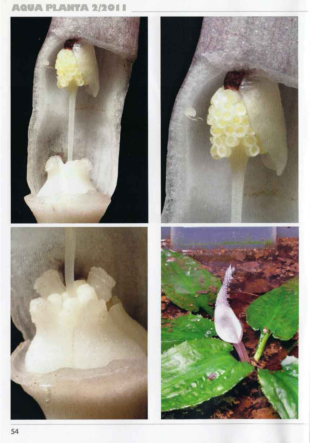# AQUA PLANTA 2/2011







54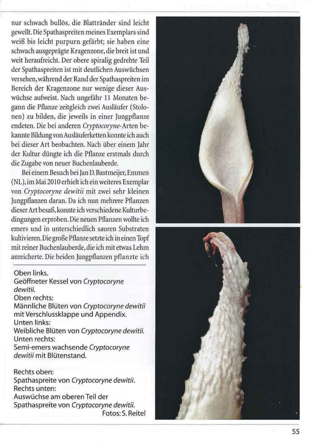nur schwach bullös, die Blattränder sind leicht gewellt. Die Spathaspreiten meines Exemplars sind weiß bis leicht purpurn gefärbt; sie haben eine schwach ausgeprägte Kragenzone, die breit ist und weit heraufreicht. Der obere spiralig gedrehte Teil der Spathaspreiten ist mit deutlichen Auswüchsen versehen, während der Rand der Spathaspreiten im Bereich der Kragenzone nur wenige dieser Auswüchse aufweist. Nach ungefähr 11 Monaten begann die Pflanze zeitgleich zwei Ausläufer (Stolonen) zu bilden, die jeweils in einer Jungpflanze endeten. Die bei anderen Cryptocoryne-Arten bekannte Bildung von Ausläuferketten konnte ich auch bei dieser Art beobachten. Nach über einem Jahr der Kultur düngte ich die Pflanze erstmals durch die Zugabe von neuer Buchenlauberde.

Bei einem Besuch bei Jan D. Bastmeijer, Emmen (NL), im Mai 2010 erhielt ich ein weiteres Exemplar von Cryptocoryne dewitii mit zwei sehr kleinen Jungpflanzen daran. Da ich nun mehrere Pflanzen dieser Art besaß, konnte ich verschiedene Kulturbedingungen erproben. Die neuen Pflanzen wollte ich emers und in unterschiedlich sauren Substraten kultivieren. Die große Pflanze setzte ich in einen Topf mit reiner Buchenlauberde, die ich mit etwas Lehm anreicherte. Die beiden Jungpflanzen pflanzte ich

Oben links.

Geöffneter Kessel von Cryptocoryne dewitii.

Oben rechts:

Männliche Blüten von Cryptocoryne dewitii mit Verschlussklappe und Appendix. Unten links: Weibliche Blüten von Cryptocoryne dewitii. Unten rechts: Semi-emers wachsende Cryptocoryne dewitii mit Blütenstand.





Rechts oben: Spathaspreite von Cryptocoryne dewitii. Rechts unten: Auswüchse am oberen Teil der Spathaspreite von Cryptocoryne dewitii. Fotos: S. Reitel

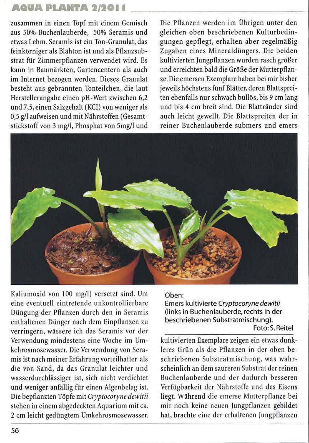# AQUA PLANTA 2/2011

zusammen in einen Topf mit einem Gemisch aus 50% Buchenlauberde, 50% Seramis und etwas Lehm. Seramis ist ein Ton-Granulat, das feinkörniger als Blähton ist und als Pflanzsubstrat für Zimmerpflanzen verwendet wird. Es kann in Baumärkten, Gartencentern als auch im Internet bezogen werden. Dieses Granulat besteht aus gebrannten Tonteilchen, die laut Herstellerangabe einen pH-Wert zwischen 6,2 und 7,5, einen Salzgehalt (KCI) von weniger als 0,5 g/l aufweisen und mit Nährstoffen (Gesamtstickstoff von 3 mg/l, Phosphat von 5mg/l und

Die Pflanzen werden im Übrigen unter den gleichen oben beschriebenen Kulturbedingungen gepflegt, erhalten aber regelmäßig Zugaben eines Mineraldüngers. Die beiden kultivierten Jungpflanzen wurden rasch größer und erreichten bald die Größe der Mutterpflanze. Die emersen Exemplare haben bei mir bisher jeweils höchstens fünf Blätter, deren Blattspreiten ebenfalls nur schwach bullös, bis 9 cm lang und bis 4 cm breit sind. Die Blattränder sind auch leicht gewellt. Die Blattspreiten der in reiner Buchenlauberde submers und emers



Kaliumoxid von 100 mg/l) versetzt sind. Um eine eventuell eintretende unkontrollierbare Düngung der Pflanzen durch den in Seramis enthaltenen Dünger nach dem Einpflanzen zu verringern, wässere ich das Seramis vor der Verwendung mindestens eine Woche im Umkehrosmosewasser. Die Verwendung von Seramis ist nach meiner Erfahrung vorteilhafter als die von Sand, da das Granulat leichter und wasserdurchlässiger ist, sich nicht verdichtet und weniger anfällig für einen Algenbelag ist. Die bepflanzten Töpfe mit Cryptocoryne dewitii stehen in einem abgedeckten Aquarium mit ca. 2 cm leicht gedüngtem Umkehrosmosewasser.

## Oben:

Emers kultivierte Cryptocoryne dewitii (links in Buchenlauberde, rechts in der beschriebenen Substratmischung).

Foto: S. Reitel

kultivierten Exemplare zeigen ein etwas dunkleres Grün als die Pflanzen in der oben beschriebenen Substratmischung, was wahrscheinlich an dem saureren Substrat der reinen Buchenlauberde und der dadurch besseren Verfügbarkeit der Nährstoffe und des Eisens liegt. Während die emerse Mutterpflanze bei mir noch keine neuen Jungpflanzen gebildet hat, brachte eine der erhaltenen Jungpflanzen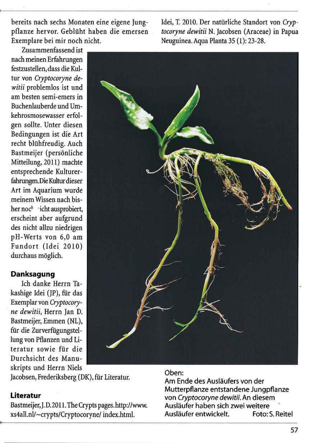bereits nach sechs Monaten eine eigene Jungpflanze hervor. Geblüht haben die emersen Exemplare bei mir noch nicht.

Idei, T. 2010. Der natürliche Standort von Cryptocoryne dewitii N. Jacobsen (Araceae) in Papua Neuguinea. Aqua Planta 35 (1): 23-28.

Zusammenfassend ist nach meinen Erfahrungen festzustellen, dass die Kultur von Cryptocoryne dewitii problemlos ist und am besten semi-emers in Buchenlauberde und Umkehrosmosewasser erfolgen sollte. Unter diesen Bedingungen ist die Art recht blühfreudig. Auch Bastmeijer (persönliche Mitteilung, 2011) machte entsprechende Kulturerfahrungen. Die Kultur dieser Art im Aquarium wurde meinem Wissen nach bisher noc<sup>1</sup> icht ausprobiert, erscheint aber aufgrund des nicht allzu niedrigen pH-Werts von 6,0 am Fundort (Idei 2010) durchaus möglich.

## Danksagung

Ich danke Herrn Takashige Idei (JP), für das Exemplar von Cryptocoryne dewitii, Herrn Jan D. Bastmeijer, Emmen (NL), für die Zurverfügungstellung von Pflanzen und Literatur sowie für die Durchsicht des Manuskripts und Herrn Niels Jacobsen, Frederiksberg (DK), für Literatur.



## **Literatur**

Bastmeijer, J.D. 2011. The Crypts pages. http://www. xs4all.nl/~crypts/Cryptocoryne/index.html.

### Oben: Am Ende des Ausläufers von der Mutterpflanze entstandene Jungpflanze von Cryptocoryne dewitii. An diesem Ausläufer haben sich zwei weitere Ausläufer entwickelt. Foto: S. Reitel

57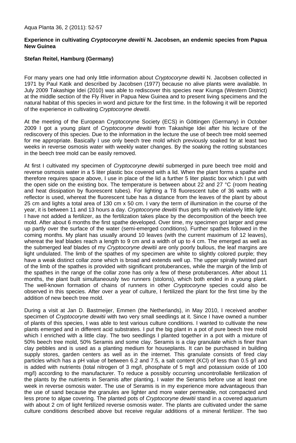Aqua Planta 36, 2 (2011): 52-57

#### **Experience in cultivating** *Cryptocoryne dewitii* **N. Jacobsen, an endemic species from Papua New Guinea**

### **Stefan Reitel, Hamburg (Germany)**

For many years one had only little information about *Cryptocoryne dewitii* N. Jacobsen collected in 1971 by Paul Katik and described by Jacobsen (1977) because no alive plants were available. In July 2009 Takashige Idei (2010) was able to rediscover this species near Kiunga (Western District) at the middle section of the Fly River in Papua New Guinea and to present living specimens and the natural habitat of this species in word and picture for the first time. In the following it will be reported of the experience in cultivating *Cryptocoryne dewitii*.

At the meeting of the European Cryptocoryne Society (ECS) in Göttingen (Germany) in October 2009 I got a young plant of *Cryptocoryne dewitii* from Takashige Idei after his lecture of the rediscovery of this species. Due to the information in the lecture the use of beech tree mold seemed for me appropriate. Basically I use only beech tree mold which previously soaked for at least two weeks in reverse osmosis water with weekly water changes. By the soaking the rotting substances in the beech tree mold can be easily removed.

At first I cultivated my specimen of *Cryptocoryne dewitii* submerged in pure beech tree mold and reverse osmosis water in a 5 liter plastic box covered with a lid. When the plant forms a spathe and therefore requires space above, I use in place of the lid a further 5 liter plastic box which I put with the open side on the existing box. The temperature is between about 22 and 27 °C (room heating and heat dissipation by fluorescent tubes). For lighting a T8 fluorescent tube of 36 watts with a reflector is used, whereat the fluorescent tube has a distance from the leaves of the plant by about 25 cm and lights a total area of 130 cm x 50 cm. I vary the term of illumination in the course of the year, it is between 11 and 13 hours a day. *Cryptocoryne dewitii* thus gets by with relatively little light. I have not added a fertilizer, as the fertilization takes place by the decomposition of the beech tree mold. After about 6 months the first spathe developed. Over time, my specimen got larger and grew up partly over the surface of the water (semi-emerged conditions). Further spathes followed in the coming months. My plant has usually around 10 leaves (with the current maximum of 12 leaves), whereat the leaf blades reach a length to 9 cm and a width of up to 4 cm. The emerged as well as the submerged leaf blades of my *Cryptocoryne dewitii* are only poorly bullous, the leaf margins are light undulated. The limb of the spathes of my specimen are white to slightly colored purple; they have a weak distinct collar zone which is broad and extends well up. The upper spirally twisted part of the limb of the spathes is provided with significant protuberances, while the margin of the limb of the spathes in the range of the collar zone has only a few of these protuberances. After about 11 months, the plant built simultaneously two runners (stolons), which both ended in a young plant. The well-known formation of chains of runners in other *Cryptocoryne* species could also be observed in this species. After over a year of culture, I fertilized the plant for the first time by the addition of new beech tree mold.

During a visit at Jan D. Bastmeijer, Emmen (the Netherlands), in May 2010, I received another specimen of *Cryptocoryne dewitii* with two very small seedlings at it. Since I have owned a number of plants of this species, I was able to test various culture conditions. I wanted to cultivate the new plants emerged and in different acid substrates. I put the big plant in a pot of pure beech tree mold which I enriched with a little clay. The two seedlings I planted together in a pot with a mixture of 50% beech tree mold, 50% Seramis and some clay. Seramis is a clay granulate which is finer than clay pebbles and is used as a planting medium for houseplants. It can be purchased in building supply stores, garden centers as well as in the internet. This granulate consists of fired clay particles which has a pH value of between 6.2 and 7.5, a salt content (KCl) of less than 0.5 g/l and is added with nutrients (total nitrogen of 3 mg/l, phosphate of 5 mg/l and potassium oxide of 100 mg/l) according to the manufacturer. To reduce a possibly occurring uncontrollable fertilization of the plants by the nutrients in Seramis after planting, I water the Seramis before use at least one week in reverse osmosis water. The use of Seramis is in my experience more advantageous than the use of sand because the granules are lighter and more water permeable, not compacted and less prone to algae covering. The planted pots of *Cryptocoryne dewitii* stand in a covered aquarium with about 2 cm of light fertilized reverse osmosis water. The plants are cultivated under the same culture conditions described above but receive regular additions of a mineral fertilizer. The two